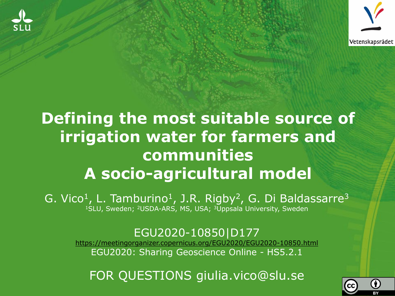



#### **Defining the most suitable source of irrigation water for farmers and communities A socio-agricultural model**

G. Vico<sup>1</sup>, L. Tamburino<sup>1</sup>, J.R. Rigby<sup>2</sup>, G. Di Baldassarre<sup>3</sup> 1SLU, Sweden; 2USDA-ARS, MS, USA; 3Uppsala University, Sweden

#### EGU2020-10850|D177

<https://meetingorganizer.copernicus.org/EGU2020/EGU2020-10850.html> EGU2020: Sharing Geoscience Online - HS5.2.1

FOR QUESTIONS giulia.vico@slu.se

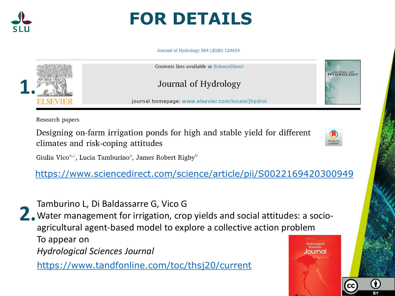

#### **FOR DETAILS**

Journal of Hydrology 584 (2020) 124634



**HYDROLOGY** 

Research papers

Designing on-farm irrigation ponds for high and stable yield for different climates and risk-coping attitudes



Giulia Vico<sup>a,\*</sup>, Lucia Tamburino<sup>a</sup>, James Robert Rigby<sup>b</sup>

<https://www.sciencedirect.com/science/article/pii/S0022169420300949>

**2.** Tamburino L, Di Baldassarre G, Vico G<br>
Water management for irrigation, crop Water management for irrigation, crop yields and social attitudes: a socioagricultural agent-based model to explore a collective action problem To appear on *Hydrological Sciences Journal*

<https://www.tandfonline.com/toc/thsj20/current>

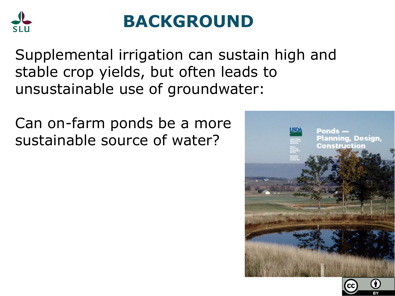

#### **BACKGROUND**

Supplemental irrigation can sustain high and stable crop yields, but often leads to unsustainable use of groundwater:

Can on-farm ponds be a more sustainable source of water?



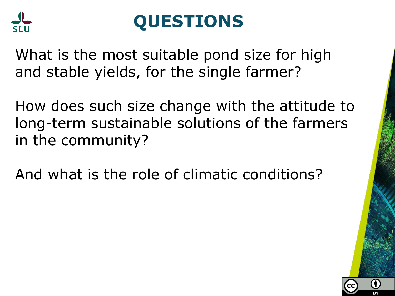

## **QUESTIONS**

What is the most suitable pond size for high and stable yields, for the single farmer?

How does such size change with the attitude to long-term sustainable solutions of the farmers in the community?

And what is the role of climatic conditions?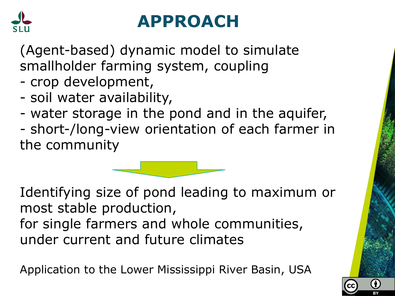

## **APPROACH**

(Agent-based) dynamic model to simulate smallholder farming system, coupling

- crop development,
- soil water availability,
- water storage in the pond and in the aquifer,
- short-/long-view orientation of each farmer in the community

Identifying size of pond leading to maximum or most stable production, for single farmers and whole communities, under current and future climates

Application to the Lower Mississippi River Basin, USA